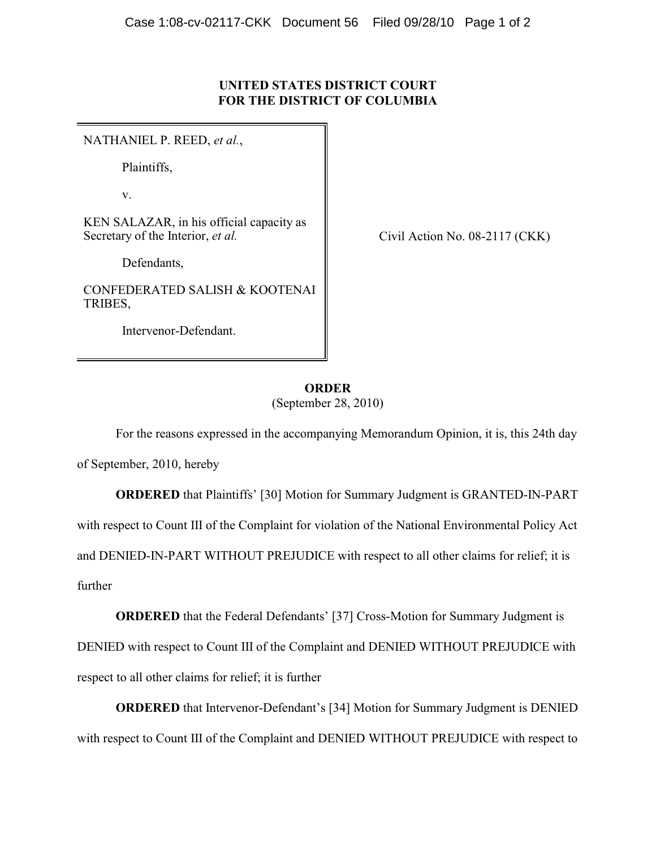## **UNITED STATES DISTRICT COURT FOR THE DISTRICT OF COLUMBIA**

NATHANIEL P. REED, *et al.*,

Plaintiffs,

v.

KEN SALAZAR, in his official capacity as Secretary of the Interior, *et al.*

Defendants,

CONFEDERATED SALISH & KOOTENAI TRIBES,

Intervenor-Defendant.

Civil Action No. 08-2117 (CKK)

## **ORDER** (September 28, 2010)

For the reasons expressed in the accompanying Memorandum Opinion, it is, this 24th day

of September, 2010, hereby

**ORDERED** that Plaintiffs' [30] Motion for Summary Judgment is GRANTED-IN-PART with respect to Count III of the Complaint for violation of the National Environmental Policy Act and DENIED-IN-PART WITHOUT PREJUDICE with respect to all other claims for relief; it is further

**ORDERED** that the Federal Defendants' [37] Cross-Motion for Summary Judgment is DENIED with respect to Count III of the Complaint and DENIED WITHOUT PREJUDICE with respect to all other claims for relief; it is further

**ORDERED** that Intervenor-Defendant's [34] Motion for Summary Judgment is DENIED with respect to Count III of the Complaint and DENIED WITHOUT PREJUDICE with respect to